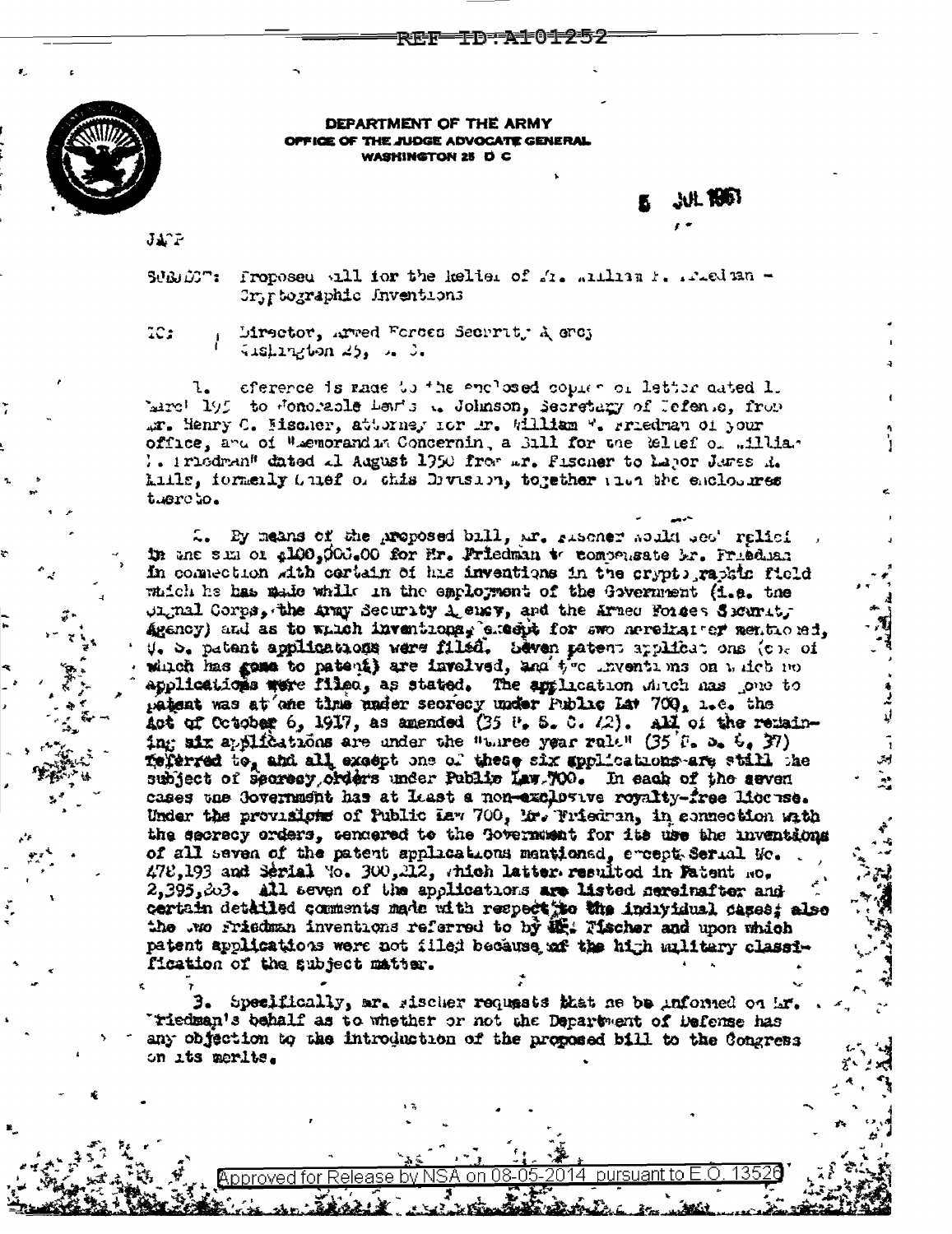**TD-AF01252** 医性性

JUL 1961

إدن ده.<br>من



DEPARTMENT OF THE ARMY OPFICE OF THE JUDGE ADVOCATE GENERAL WASHINGTON 25 D C

 $J\mathbf{A}^T\tilde{\mathbf{r}}$ 

SUBDOT: Proposed all for the keller of  $f_1$ , within  $f_1$ , wheden -Cryptographic Inventions

 $TC2$ 

Mirector, Arred Forces Secrrity A ercy 

eference is made to the enclosed copier of letter dated 1. hard 195 to Jonesale Laws .. Johnson, Secretary of Jefense, from Ar. Henry C. Hischer, attorney for Ar. William W. Friedman of your office, and of Wiemorandin Concernin, a Sill for the Relief of william 1. Iriedran" dated al August 1950 from mr. Fischer to hapor Jares R. kills, formenly 0 nef or chis Division, together into the enclosures tuercto.

2. By means of the proposed bill, ar. gischer abild dec' relief in the sum of 2100,000.00 for Er. Priedman to compensate br. Friedhan In connection with certain of his inventions in the crypts raphic field which he has made while in the employment of the Government (i.e. the  $\mu$  and  $\mu$  and  $\mu$  and  $\mu$  and  $\mu$  and  $\mu$  and the Armed Formes Security Agency) and as to which inventions, execut for swo nereinater mentioned. U. S. patent applications were filed. Seven patent applications (c). of which has gone to patent) are invelved, and the inventions on which no applications were filed, as stated. The application duch has jone to patent was at one time under secrecy under Public Lat 700, 1.e. the Act of Cotober 6, 1917, as amended (35  $\theta$ , 5. 0.  $\sqrt{2}$ ). All of the remaining six applications are under the "turee year rule" (35 F. b.  $6.37$ ) ferred to, and all except one of these six applications are still the subject of secresy orders under Public Law.700. In each of the seven cases the Government has at least a non-exclusive royalty-free license. Under the provisions of Public Law 700, Mr. Friedran, in cannection with the secrecy orders, sendered to the Government for its use the inventions of all seven of the patent applications mentioned, encept Serial Mo.  $472,193$  and Serial Yo.  $300,212$ , which latter resulted in Fatent Ro.  $2,395,203$ . All seven of the applications are listed nereinafter and certain detailed comments made with respect to the individual dases; also the wo friedman inventions referred to by  $\mathbf{W}$ : Tischer and upon which patent applications were not filed because af the high sulitary classification of the subject matter.

3. Specifically, are sischer requests that ae be informed on Lr. Tiedman's behalf as to whether or not the Department of Defense has any objection to the introduction of the proposed bill to the Congress on its merits.

oproved for

pursuant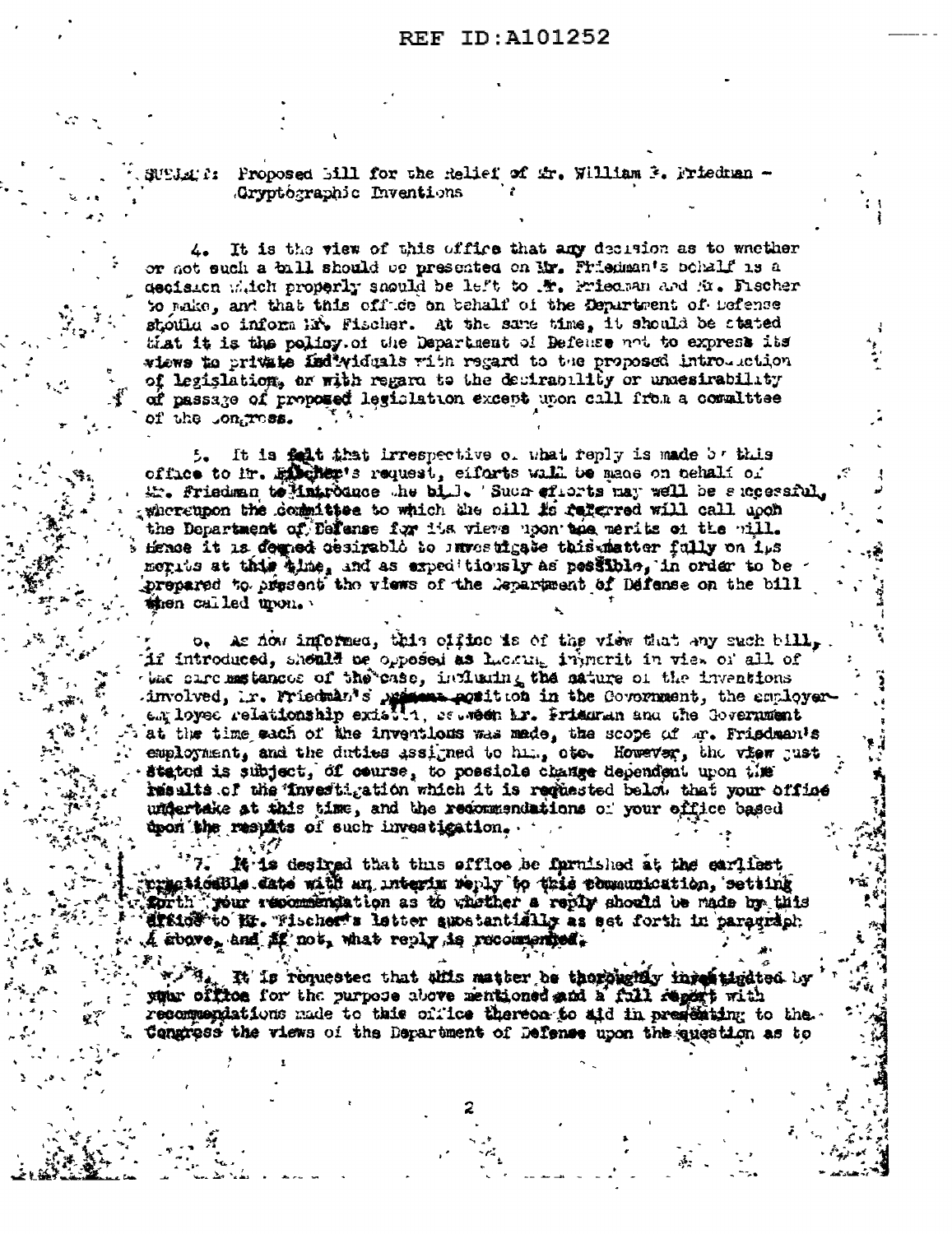N'EJA: 1: Proposed Bill for the Relief of Ar. William 3. Prieduan -Gryptographic Inventions

4. It is the view of this office that any decision as to whether or not such a bill should be presented on Mr. Phiedman's bohalf is a decision witch properly should be left to . W. Friedman and fit. Fischer to make, and that this office on behalf of the Department of Defense stotla so inform his Fischer. At the same time, it should be stated that it is the policy of the Department of Befence not to exprese its wiews to private individuals with regard to the proposed introduction of legislation, or with regard to the decirability or undesirability of passage of proposed legislation except upon call from a committee of the .ongress.

It is fait that irrespective of what reply is made by this 5. office to in. Enchants request, eifarts will be made on tehalf of Mr. friedman to Matroduce the bill. Such efforts may well be successful whereupon the domittee to which the sill is referred will call upon the Department of Defense for the views upon the merits of the will. Hence it is downed cesigable to investigate this matter fully on ips merits at this time, and as expeditionsly as pessible, in order to be prepared to present the views of the Department of Defense on the bill then called upon.

 $\circ$ . As now informed, this office is of the view that any such bill, if introduced, sheald be opposed as Lucking injurrit in view of all of when care materiate of the case, indicating the sature of the inventions involved, ir. Friedman's prisons position in the Covornment, the employerat the time each of the inventions was made, the scope of m. Frisdman's employment, and the duties assigned to him, ote. However, the view just stated is subject, of course, to possiole change dependent upon the results of the investigation which it is reguested below that your office undertake at this time, and the recommendations of your effice based upon the results of such investigation.

It is desired that this effloe be farmished at the earliest presidelle date with an interim reply to this pomanuication, setting sorth pour resommendation as to whether a reply should be made by this state to M. Tischer's letter smetantially as set forth in paragraph.  $\mathcal{A}$  sbove, and  $\mathcal{B}$  not, what reply is recommended.

It is requested that this matter be thoroughly intentigated by your office for the purpose above mentioned and a full regard with recommendations made to this cirice thereon to aid in presenting to the. Congress the views of the Department of Defense upon the question as to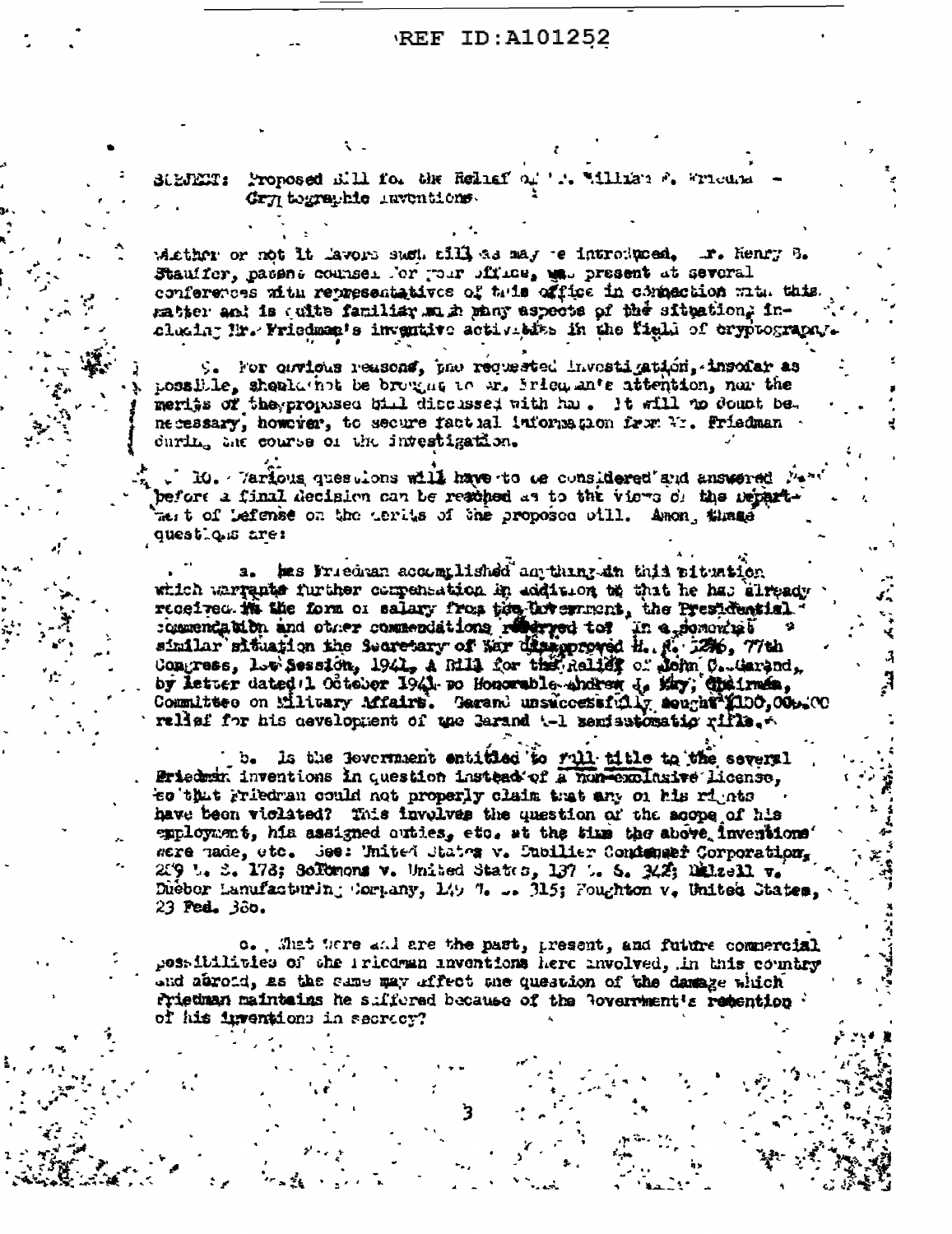## REF ID: A101252

r. Millian & Wiedra Strikkr: Proposed Rill for the Reliaf or Gry tographic inventions.

whether or not it lavors such sill as may e introduced, I. Henry B. Stauffer, pacent counsel for your sfrice, mes present at several conferences with representatives of this office in commection with this matter and is culte familiar magh many aspects of the situation. Inclusing Hr. Friedman's inventive activities in the field of cryptography.

9. For cavious reasons, pae requested investigation, insofar as possible, shealathot be brought to ar. Srien ante attention, nor the merits of the proposed bill discussed with has. It will to dount be. necessary, however, to secure factual information from Wi. Friedman during the course of the intestigation.

 $10.$  . Various questions will have to be considered and answered  $N$ before a final decision can be resched as to the views of the Departmest of Lefense on the cerits of the proposed oill. Amon, thuse questique are:

hes Friedman accomplished an thing an this pituation which warrants further compensation in addition to that he has elready received in the form of salary from the three minist, the Presidential. similar situation the Secretary of Nar disapproved H. N. 1206, 77th Congress, Low Session, 1941, A Rill for the Relief of John C. Garand, by letter dated 1 October 1941 no Honorable shdren J. Kay, Chaines, Committee on Military Mfairt. Garand unsuccessfully sought (100,000.00 relief for his development of the Garand t-1 seniestomatic rifle.

Is the lovernment entitled to rull title to the several Friedman inventions in question instead of a non-exclusive license. to that rriedran could not properly claim that any on his rights have been viclated? This involves the question of the scope of his employment, his assigned outles, etc. at the time the above inventions' were made, etc. See: United States v. Dubilier Condenser Corporation.  $259$  L. S. 178; Softenons v. United States, 137 L. S. 342; Different v. Diebor Lanufacturing Cortany, 149 7. .. 315; Foughton v. United States.  $23$  Ped.  $300.$ 

c. . That were and are the past, present, and future commercial possibilities of the iricdran inventions here involved, in this country and abroid, as the same may affect one question of the damage which friedman maintains he suffered because of the Rovernment's retention of his inventions in secrecy?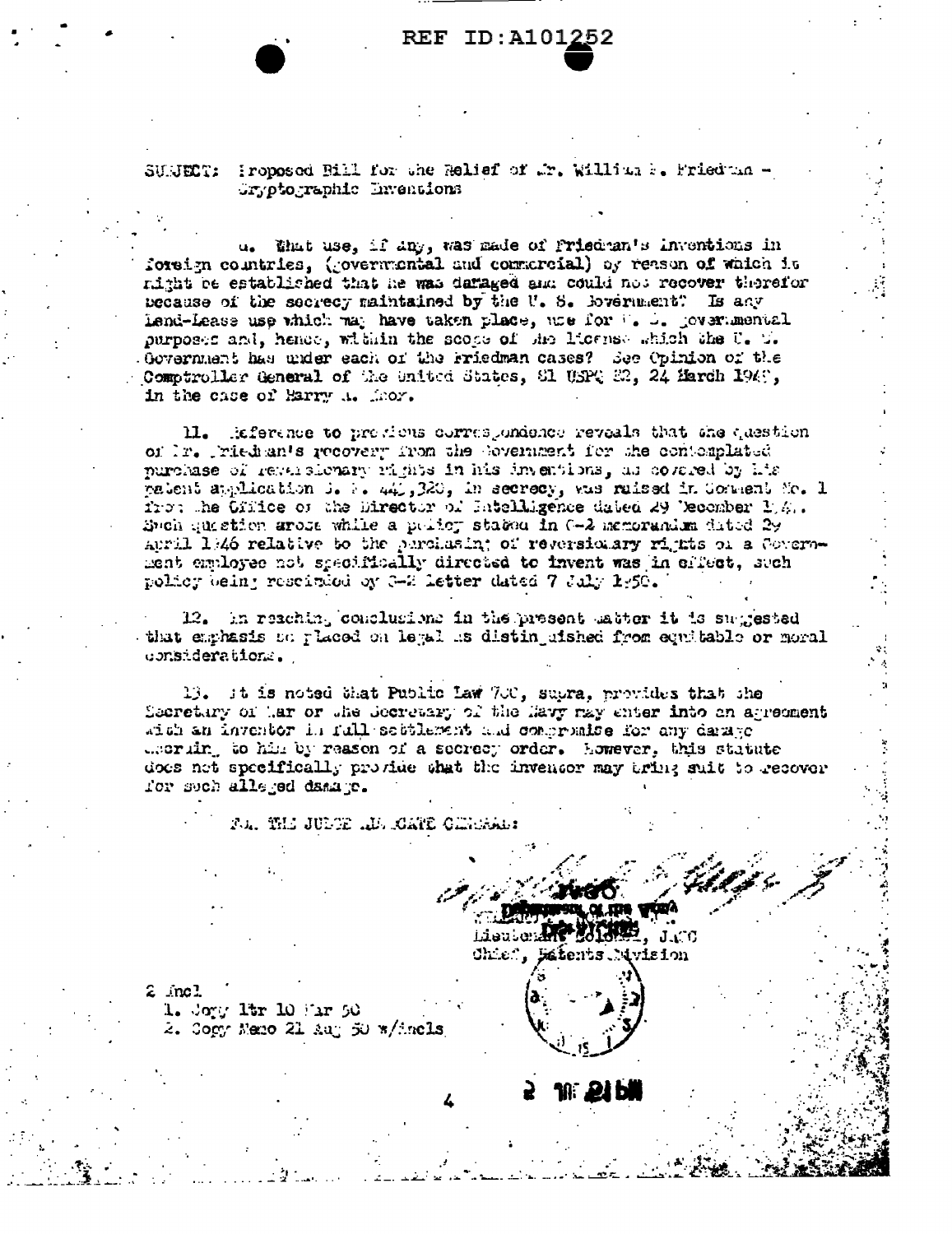## **REF ID:A101252**

SUNECT: Proposed Bill for the Relief of Mr. William F. Friedman -Gryptographic Enventions

u. that use, if any, was made of friedman's inventions in foreign countries, (governmental and conmercial) by reason of which it mitht be established that he was damaged amm could not recover therefor because of the secrecy maintained by the U.S. Boverment? Is any lend-Lease use which way have taken place, whe for the L. Jovernmental purposes and, hence, within the scope of the license which the U. T. Government has under each of the Friedman cases? See Opinion of the Comptroller General of the United States, Sl USPQ 22, 24 March 1949, in the case of Harry A. Mhor.

11. Reference to presions correspondence reveals that the question of Ir. Triedman's recovery from the Sovernment for the contomplated purchase of reversionary rajnts in his inventions, as covared by his patent application i. N. 441,320, in secrecy, was raised in Connent Mo. 1 from the Cffice of the Director of Intelligence dated 29 Vecember 1, 4.. Spoh guistion arose while a policy stated in 0-2 memorandum dated 29 April 1946 relative to the perchasin; of reversionary rights on a Covernment employee not specifically directed to invent was in critect, such policy being rescirced by 3-2 letter dated 7 July 1:50.

12. In reaching conclusions in the present astor it is suggested that emphasis on placed on legal is distingished from equitable or moral upnsideration.

13. It is noted that Public Law 700, supra, provides that the Secretary of Lar or the Secretary of the Havy may enter into an agreement with an inventor in full settlement and compraise for any darage decrific to him by reason of a secrecy order. However, this statute does not specifically provide what the inventor may bring suit to recover for such alleged damage.

F.A. THE JULTE ..D. CATE GIRDARY

Lieuten  $J \subset C$ Chief, Estents Nivision

 $2 \text{ mol}$  $1.$  Joyy 1tr  $10$  Far  $50$ 2. Copy Nemo 21 Aug 50 w/incls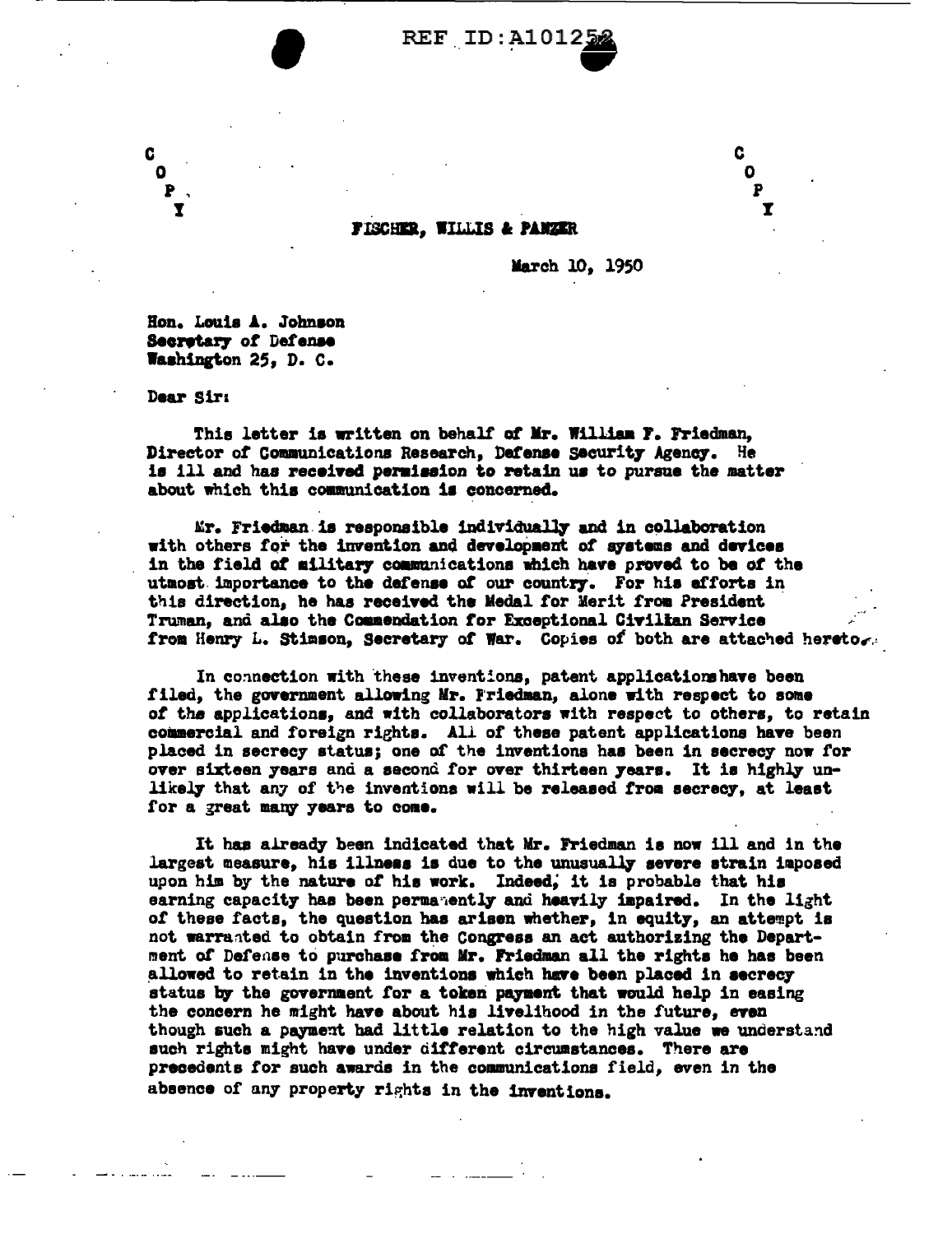

**FISCHER. WILLIS & PANZER** 

March 10, 1950

Ī

Hon. Louis A. Johnson Secretary of Defense Washington 25, D. C.

Dear Sir:

This letter is written on behalf of Mr. William F. Friedman. Director of Communications Research, Defense Security Agency. He is ill and has recoived permission to retain us to pursue the matter about which this communication is concerned.

Mr. Friedman is responsible individually and in collaboration with others for the invention and development of systems and devices in the field of military communications which have proved to be of the utmost importance to the defense of our country. For his efforts in this direction, he has received the Medal for Merit from President Truman, and also the Commendation for Exceptional Civilian Service from Henry L. Stimson, Secretary of War. Copies of both are attached hereto.

In connection with these inventions, patent applications have been filed, the government allowing Mr. Friedman, alone with respect to some of the applications, and with collaborators with respect to others, to retain commercial and foreign rights. All of these patent applications have been placed in secrecy status; one of the inventions has been in secrecy now for over sixteen years and a second for over thirteen years. It is highly unlikely that any of the inventions will be released from secrecy, at least for a great many years to come.

It has already been indicated that Mr. Friedman is now ill and in the largest measure, his illness is due to the unusually severe strain imposed upon him by the nature of his work. Indeed, it is probable that his earning capacity has been permanently and heavily impaired. In the light of these facts, the question has arisen whether, in equity, an attempt is not warranted to obtain from the Congress an act authorizing the Department of Defense to purchase from Mr. Friedman all the rights he has been allowed to retain in the inventions which have been placed in secrecy status by the government for a token payment that would help in easing the concern he might have about his livelihood in the future, even though such a payment had little relation to the high value we understand such rights might have under different circumstances. There are precedents for such awards in the communications field, even in the absence of any property rights in the inventions.